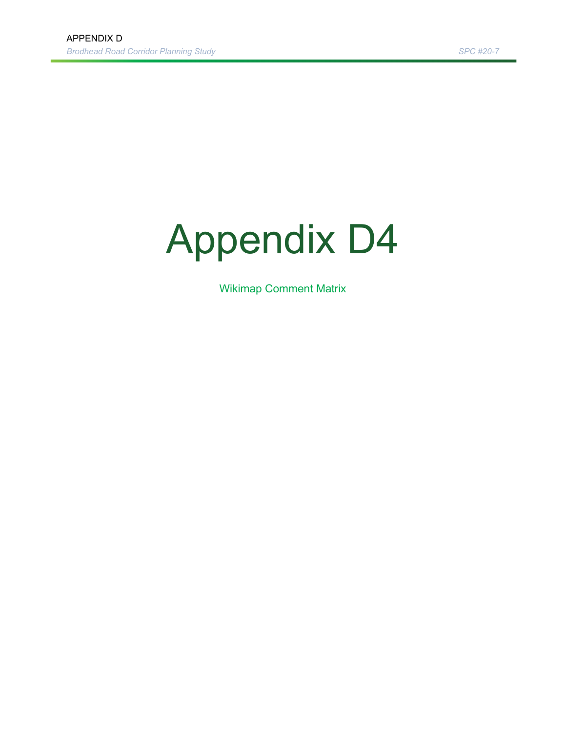## Appendix D4

Wikimap Comment Matrix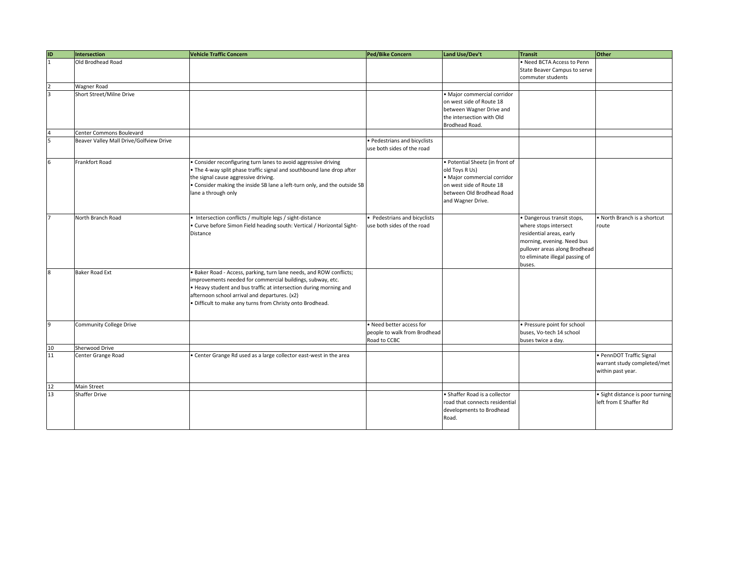| ID             | Intersection                            | <b>Vehicle Traffic Concern</b>                                            | Ped/Bike Concern             | Land Use/Dev't                  | <b>Transit</b>                  | <b>Other</b>                     |
|----------------|-----------------------------------------|---------------------------------------------------------------------------|------------------------------|---------------------------------|---------------------------------|----------------------------------|
| $\overline{1}$ | Old Brodhead Road                       |                                                                           |                              |                                 | . Need BCTA Access to Penn      |                                  |
|                |                                         |                                                                           |                              |                                 | State Beaver Campus to serve    |                                  |
|                |                                         |                                                                           |                              |                                 | commuter students               |                                  |
|                | <b>Wagner Road</b>                      |                                                                           |                              |                                 |                                 |                                  |
| R.             | Short Street/Milne Drive                |                                                                           |                              | · Major commercial corridor     |                                 |                                  |
|                |                                         |                                                                           |                              | on west side of Route 18        |                                 |                                  |
|                |                                         |                                                                           |                              | between Wagner Drive and        |                                 |                                  |
|                |                                         |                                                                           |                              |                                 |                                 |                                  |
|                |                                         |                                                                           |                              | the intersection with Old       |                                 |                                  |
|                | <b>Center Commons Boulevard</b>         |                                                                           |                              | Brodhead Road.                  |                                 |                                  |
|                |                                         |                                                                           |                              |                                 |                                 |                                  |
|                | Beaver Valley Mall Drive/Golfview Drive |                                                                           | Pedestrians and bicyclists   |                                 |                                 |                                  |
|                |                                         |                                                                           | use both sides of the road   |                                 |                                 |                                  |
|                | Frankfort Road                          | • Consider reconfiguring turn lanes to avoid aggressive driving           |                              | · Potential Sheetz (in front of |                                 |                                  |
|                |                                         | . The 4-way split phase traffic signal and southbound lane drop after     |                              | old Toys R Us)                  |                                 |                                  |
|                |                                         | the signal cause aggressive driving.                                      |                              | · Major commercial corridor     |                                 |                                  |
|                |                                         | . Consider making the inside SB lane a left-turn only, and the outside SB |                              | on west side of Route 18        |                                 |                                  |
|                |                                         | lane a through only                                                       |                              | between Old Brodhead Road       |                                 |                                  |
|                |                                         |                                                                           |                              | and Wagner Drive.               |                                 |                                  |
|                |                                         |                                                                           |                              |                                 |                                 |                                  |
|                |                                         |                                                                           |                              |                                 |                                 |                                  |
|                | North Branch Road                       | • Intersection conflicts / multiple legs / sight-distance                 | Pedestrians and bicyclists   |                                 | · Dangerous transit stops,      | North Branch is a shortcut       |
|                |                                         | Curve before Simon Field heading south: Vertical / Horizontal Sight-      | use both sides of the road   |                                 | where stops intersect           | route                            |
|                |                                         | Distance                                                                  |                              |                                 | residential areas, early        |                                  |
|                |                                         |                                                                           |                              |                                 | morning, evening. Need bus      |                                  |
|                |                                         |                                                                           |                              |                                 | pullover areas along Brodhead   |                                  |
|                |                                         |                                                                           |                              |                                 | to eliminate illegal passing of |                                  |
|                |                                         |                                                                           |                              |                                 | buses.                          |                                  |
| 8              | <b>Baker Road Ext</b>                   | . Baker Road - Access, parking, turn lane needs, and ROW conflicts;       |                              |                                 |                                 |                                  |
|                |                                         | improvements needed for commercial buildings, subway, etc.                |                              |                                 |                                 |                                  |
|                |                                         | . Heavy student and bus traffic at intersection during morning and        |                              |                                 |                                 |                                  |
|                |                                         | afternoon school arrival and departures. (x2)                             |                              |                                 |                                 |                                  |
|                |                                         | · Difficult to make any turns from Christy onto Brodhead.                 |                              |                                 |                                 |                                  |
|                |                                         |                                                                           |                              |                                 |                                 |                                  |
|                |                                         |                                                                           |                              |                                 |                                 |                                  |
| 9              | <b>Community College Drive</b>          |                                                                           | · Need better access for     |                                 | · Pressure point for school     |                                  |
|                |                                         |                                                                           | people to walk from Brodhead |                                 | buses, Vo-tech 14 school        |                                  |
|                |                                         |                                                                           | Road to CCBC                 |                                 | buses twice a day.              |                                  |
| 10             | Sherwood Drive                          |                                                                           |                              |                                 |                                 |                                  |
| 11             | Center Grange Road                      | Center Grange Rd used as a large collector east-west in the area          |                              |                                 |                                 | · PennDOT Traffic Signal         |
|                |                                         |                                                                           |                              |                                 |                                 | warrant study completed/met      |
|                |                                         |                                                                           |                              |                                 |                                 | within past year.                |
|                |                                         |                                                                           |                              |                                 |                                 |                                  |
| 12             | Main Street                             |                                                                           |                              |                                 |                                 |                                  |
| 13             | <b>Shaffer Drive</b>                    |                                                                           |                              | • Shaffer Road is a collector   |                                 | · Sight distance is poor turning |
|                |                                         |                                                                           |                              | road that connects residential  |                                 | left from E Shaffer Rd           |
|                |                                         |                                                                           |                              | developments to Brodhead        |                                 |                                  |
|                |                                         |                                                                           |                              | Road.                           |                                 |                                  |
|                |                                         |                                                                           |                              |                                 |                                 |                                  |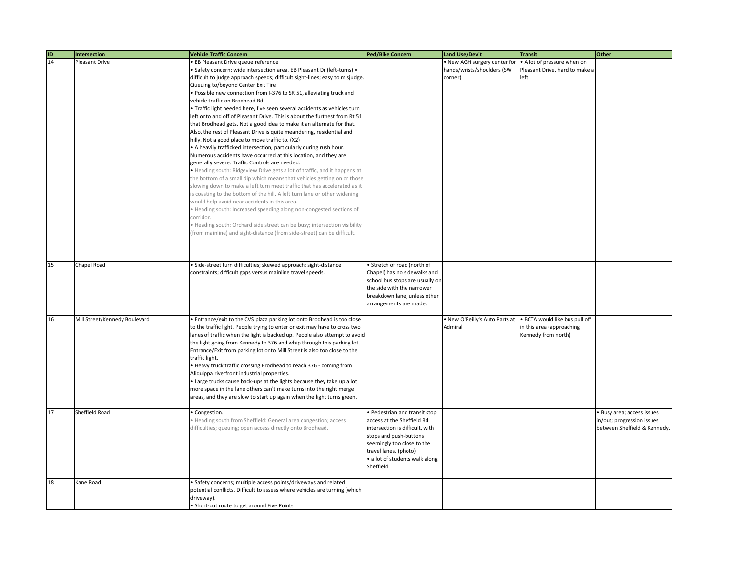| ID | <b>Intersection</b>           | <b>Vehicle Traffic Concern</b>                                                                                                                                                                                                                                                                                                                                                                                                                                                                                                                                                                                                                                                                                                                                                                                                                                                                                                                                                                                                                                                                                                                                                                                                                                                                                                                                                                                                                                                                                                 | <b>Ped/Bike Concern</b>                                                                                                                                                                                                        | Land Use/Dev't                                                        | <b>Transit</b>                                                                     | Other                                                                                    |
|----|-------------------------------|--------------------------------------------------------------------------------------------------------------------------------------------------------------------------------------------------------------------------------------------------------------------------------------------------------------------------------------------------------------------------------------------------------------------------------------------------------------------------------------------------------------------------------------------------------------------------------------------------------------------------------------------------------------------------------------------------------------------------------------------------------------------------------------------------------------------------------------------------------------------------------------------------------------------------------------------------------------------------------------------------------------------------------------------------------------------------------------------------------------------------------------------------------------------------------------------------------------------------------------------------------------------------------------------------------------------------------------------------------------------------------------------------------------------------------------------------------------------------------------------------------------------------------|--------------------------------------------------------------------------------------------------------------------------------------------------------------------------------------------------------------------------------|-----------------------------------------------------------------------|------------------------------------------------------------------------------------|------------------------------------------------------------------------------------------|
| 14 | Pleasant Drive                | <b>EB Pleasant Drive queue reference</b><br>· Safety concern; wide intersection area. EB Pleasant Dr (left-turns) =<br>difficult to judge approach speeds; difficult sight-lines; easy to misjudge.<br>Queuing to/beyond Center Exit Tire<br>· Possible new connection from I-376 to SR 51, alleviating truck and<br>vehicle traffic on Brodhead Rd<br>· Traffic light needed here, I've seen several accidents as vehicles turn<br>left onto and off of Pleasant Drive. This is about the furthest from Rt 51<br>that Brodhead gets. Not a good idea to make it an alternate for that.<br>Also, the rest of Pleasant Drive is quite meandering, residential and<br>hilly. Not a good place to move traffic to. (X2)<br>. A heavily trafficked intersection, particularly during rush hour.<br>Numerous accidents have occurred at this location, and they are<br>generally severe. Traffic Controls are needed.<br>. Heading south: Ridgeview Drive gets a lot of traffic, and it happens at<br>the bottom of a small dip which means that vehicles getting on or those<br>slowing down to make a left turn meet traffic that has accelerated as it<br>is coasting to the bottom of the hill. A left turn lane or other widening<br>would help avoid near accidents in this area.<br>· Heading south: Increased speeding along non-congested sections of<br>corridor.<br>· Heading south: Orchard side street can be busy; intersection visibility<br>(from mainline) and sight-distance (from side-street) can be difficult. |                                                                                                                                                                                                                                | · New AGH surgery center for<br>hands/wrists/shoulders (SW<br>corner) | . A lot of pressure when on<br>Pleasant Drive, hard to make a<br>left              |                                                                                          |
| 15 | Chapel Road                   | · Side-street turn difficulties; skewed approach; sight-distance<br>constraints; difficult gaps versus mainline travel speeds.                                                                                                                                                                                                                                                                                                                                                                                                                                                                                                                                                                                                                                                                                                                                                                                                                                                                                                                                                                                                                                                                                                                                                                                                                                                                                                                                                                                                 | · Stretch of road (north of<br>Chapel) has no sidewalks and<br>school bus stops are usually on<br>the side with the narrower<br>breakdown lane, unless other<br>arrangements are made.                                         |                                                                       |                                                                                    |                                                                                          |
| 16 | Mill Street/Kennedy Boulevard | . Entrance/exit to the CVS plaza parking lot onto Brodhead is too close<br>to the traffic light. People trying to enter or exit may have to cross two<br>lanes of traffic when the light is backed up. People also attempt to avoid<br>the light going from Kennedy to 376 and whip through this parking lot.<br>Entrance/Exit from parking lot onto Mill Street is also too close to the<br>traffic light.<br>. Heavy truck traffic crossing Brodhead to reach 376 - coming from<br>Aliquippa riverfront industrial properties.<br>. Large trucks cause back-ups at the lights because they take up a lot<br>more space in the lane others can't make turns into the right merge<br>areas, and they are slow to start up again when the light turns green.                                                                                                                                                                                                                                                                                                                                                                                                                                                                                                                                                                                                                                                                                                                                                                    |                                                                                                                                                                                                                                | . New O'Reilly's Auto Parts at<br>Admiral                             | · BCTA would like bus pull off<br>in this area (approaching<br>Kennedy from north) |                                                                                          |
| 17 | Sheffield Road                | · Congestion.<br>· Heading south from Sheffield: General area congestion; access<br>difficulties; queuing; open access directly onto Brodhead.                                                                                                                                                                                                                                                                                                                                                                                                                                                                                                                                                                                                                                                                                                                                                                                                                                                                                                                                                                                                                                                                                                                                                                                                                                                                                                                                                                                 | · Pedestrian and transit stop<br>access at the Sheffield Rd<br>intersection is difficult, with<br>stops and push-buttons<br>seemingly too close to the<br>travel lanes. (photo)<br>· a lot of students walk along<br>Sheffield |                                                                       |                                                                                    | · Busy area; access issues<br>in/out; progression issues<br>between Sheffield & Kennedy. |
| 18 | Kane Road                     | · Safety concerns; multiple access points/driveways and related<br>potential conflicts. Difficult to assess where vehicles are turning (which<br>driveway).<br>• Short-cut route to get around Five Points                                                                                                                                                                                                                                                                                                                                                                                                                                                                                                                                                                                                                                                                                                                                                                                                                                                                                                                                                                                                                                                                                                                                                                                                                                                                                                                     |                                                                                                                                                                                                                                |                                                                       |                                                                                    |                                                                                          |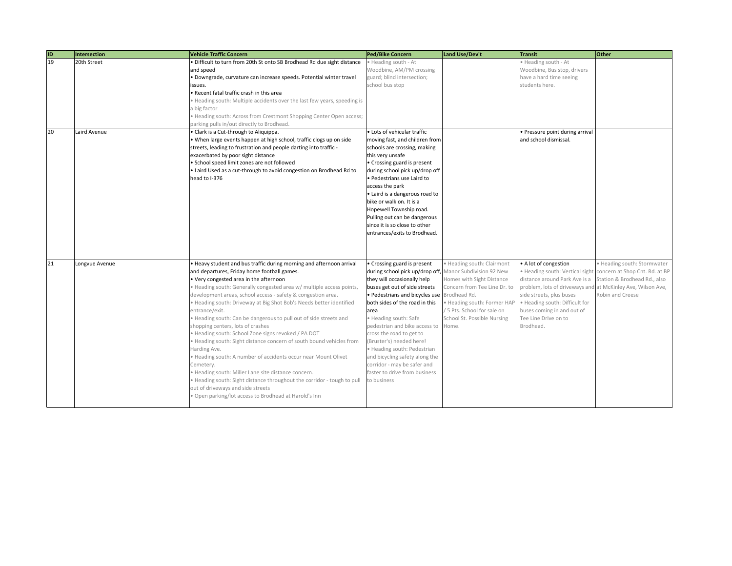| $\frac{1}{19}$ | <b>Intersection</b> | <b>Vehicle Traffic Concern</b>                                          | <b>Ped/Bike Concern</b>         | Land Use/Dev't               | <b>Transit</b>                  | Other                          |
|----------------|---------------------|-------------------------------------------------------------------------|---------------------------------|------------------------------|---------------------------------|--------------------------------|
|                | 20th Street         | · Difficult to turn from 20th St onto SB Brodhead Rd due sight distance | · Heading south - At            |                              | Heading south - At              |                                |
|                |                     | and speed                                                               | Woodbine, AM/PM crossing        |                              | Woodbine, Bus stop, drivers     |                                |
|                |                     | Downgrade, curvature can increase speeds. Potential winter travel       | guard; blind intersection;      |                              | have a hard time seeing         |                                |
|                |                     | ssues.                                                                  | school bus stop                 |                              | students here.                  |                                |
|                |                     | Recent fatal traffic crash in this area                                 |                                 |                              |                                 |                                |
|                |                     | Heading south: Multiple accidents over the last few years, speeding is  |                                 |                              |                                 |                                |
|                |                     | a big factor                                                            |                                 |                              |                                 |                                |
|                |                     | Heading south: Across from Crestmont Shopping Center Open access;       |                                 |                              |                                 |                                |
|                |                     | parking pulls in/out directly to Brodhead.                              |                                 |                              |                                 |                                |
| 20             | Laird Avenue        | · Clark is a Cut-through to Aliquippa.                                  | · Lots of vehicular traffic     |                              | Pressure point during arrival   |                                |
|                |                     | · When large events happen at high school, traffic clogs up on side     | moving fast, and children from  |                              | and school dismissal.           |                                |
|                |                     | streets, leading to frustration and people darting into traffic -       | schools are crossing, making    |                              |                                 |                                |
|                |                     | exacerbated by poor sight distance                                      | this very unsafe                |                              |                                 |                                |
|                |                     | · School speed limit zones are not followed                             | Crossing guard is present       |                              |                                 |                                |
|                |                     | Laird Used as a cut-through to avoid congestion on Brodhead Rd to       | during school pick up/drop off  |                              |                                 |                                |
|                |                     | ead to I-376                                                            | Pedestrians use Laird to        |                              |                                 |                                |
|                |                     |                                                                         | access the park                 |                              |                                 |                                |
|                |                     |                                                                         | Laird is a dangerous road to    |                              |                                 |                                |
|                |                     |                                                                         | bike or walk on. It is a        |                              |                                 |                                |
|                |                     |                                                                         | Hopewell Township road.         |                              |                                 |                                |
|                |                     |                                                                         | Pulling out can be dangerous    |                              |                                 |                                |
|                |                     |                                                                         | since it is so close to other   |                              |                                 |                                |
|                |                     |                                                                         | entrances/exits to Brodhead.    |                              |                                 |                                |
|                |                     |                                                                         |                                 |                              |                                 |                                |
|                |                     |                                                                         |                                 |                              |                                 |                                |
| 21             | Longvue Avenue      | . Heavy student and bus traffic during morning and afternoon arrival    | Crossing guard is present       | · Heading south: Clairmont   | • A lot of congestion           | · Heading south: Stormwater    |
|                |                     | and departures, Friday home football games.                             | during school pick up/drop off, | Manor Subdivision 92 New     | • Heading south: Vertical sight | concern at Shop Cnt. Rd. at BP |
|                |                     | . Very congested area in the afternoon                                  | they will occasionally help     | Homes with Sight Distance    | distance around Park Ave is a   | Station & Brodhead Rd., also   |
|                |                     | · Heading south: Generally congested area w/ multiple access points,    | buses get out of side streets   | Concern from Tee Line Dr. to | problem, lots of driveways and  | at McKinley Ave, Wilson Ave,   |
|                |                     | development areas, school access - safety & congestion area.            | Pedestrians and bicycles use    | Brodhead Rd.                 | side streets, plus buses        | Robin and Creese               |
|                |                     | · Heading south: Driveway at Big Shot Bob's Needs better identified     | both sides of the road in this  | · Heading south: Former HAP  | · Heading south: Difficult for  |                                |
|                |                     | entrance/exit.                                                          | area                            | 5 Pts. School for sale on    | buses coming in and out of      |                                |
|                |                     | Heading south: Can be dangerous to pull out of side streets and         | Heading south: Safe             | School St. Possible Nursing  | Tee Line Drive on to            |                                |
|                |                     | shopping centers, lots of crashes                                       | pedestrian and bike access to   | Home.                        | Brodhead.                       |                                |
|                |                     | Heading south: School Zone signs revoked / PA DOT                       | cross the road to get to        |                              |                                 |                                |
|                |                     | · Heading south: Sight distance concern of south bound vehicles from    | (Bruster's) needed here!        |                              |                                 |                                |
|                |                     | Harding Ave.                                                            | Heading south: Pedestrian       |                              |                                 |                                |
|                |                     | Heading south: A number of accidents occur near Mount Olivet            | and bicycling safety along the  |                              |                                 |                                |
|                |                     | Cemetery.                                                               | corridor - may be safer and     |                              |                                 |                                |
|                |                     | Heading south: Miller Lane site distance concern.                       | faster to drive from business   |                              |                                 |                                |
|                |                     | · Heading south: Sight distance throughout the corridor - tough to pull | to business                     |                              |                                 |                                |
|                |                     | out of driveways and side streets                                       |                                 |                              |                                 |                                |
|                |                     | Open parking/lot access to Brodhead at Harold's Inn                     |                                 |                              |                                 |                                |
|                |                     |                                                                         |                                 |                              |                                 |                                |